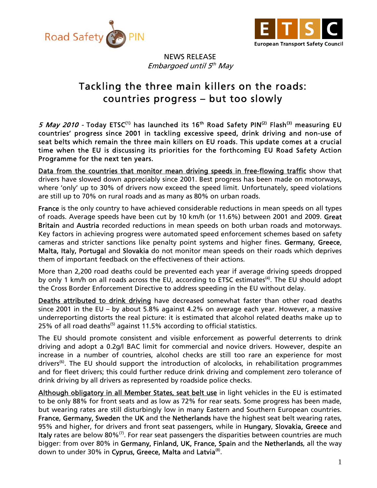



NEWS RELEASE Embargoed until  $5<sup>th</sup>$  May

## Tackling the three main killers on the roads: countries progress – but too slowly

5 May 2010 - Today ETSC<sup>(1)</sup> has launched its 16<sup>th</sup> Road Safety PIN<sup>(2)</sup> Flash<sup>(3)</sup> measuring EU countries' progress since 2001 in tackling excessive speed, drink driving and non-use of seat belts which remain the three main killers on EU roads. This update comes at a crucial time when the EU is discussing its priorities for the forthcoming EU Road Safety Action Programme for the next ten years.

Data from the countries that monitor mean driving speeds in free-flowing traffic show that drivers have slowed down appreciably since 2001. Best progress has been made on motorways, where 'only' up to 30% of drivers now exceed the speed limit. Unfortunately, speed violations are still up to 70% on rural roads and as many as 80% on urban roads.

France is the only country to have achieved considerable reductions in mean speeds on all types of roads. Average speeds have been cut by 10 km/h (or 11.6%) between 2001 and 2009. Great Britain and Austria recorded reductions in mean speeds on both urban roads and motorways. Key factors in achieving progress were automated speed enforcement schemes based on safety cameras and stricter sanctions like penalty point systems and higher fines. Germany, Greece, Malta, Italy, Portugal and Slovakia do not monitor mean speeds on their roads which deprives them of important feedback on the effectiveness of their actions.

More than 2,200 road deaths could be prevented each year if average driving speeds dropped by only 1 km/h on all roads across the EU, according to ETSC estimates<sup>(4)</sup>. The EU should adopt the Cross Border Enforcement Directive to address speeding in the EU without delay.

Deaths attributed to drink driving have decreased somewhat faster than other road deaths since 2001 in the EU – by about 5.8% against 4.2% on average each year. However, a massive underreporting distorts the real picture: it is estimated that alcohol related deaths make up to 25% of all road deaths<sup>(5)</sup> against 11.5% according to official statistics.

The EU should promote consistent and visible enforcement as powerful deterrents to drink driving and adopt a 0.2g/l BAC limit for commercial and novice drivers. However, despite an increase in a number of countries, alcohol checks are still too rare an experience for most drivers<sup>(6)</sup>. The EU should support the introduction of alcolocks, in rehabilitation programmes and for fleet drivers; this could further reduce drink driving and complement zero tolerance of drink driving by all drivers as represented by roadside police checks.

Although obligatory in all Member States, seat belt use in light vehicles in the EU is estimated to be only 88% for front seats and as low as 72% for rear seats. Some progress has been made, but wearing rates are still disturbingly low in many Eastern and Southern European countries. France, Germany, Sweden the UK and the Netherlands have the highest seat belt wearing rates, 95% and higher, for drivers and front seat passengers, while in Hungary, Slovakia, Greece and Italy rates are below  $80\%$ <sup>(7)</sup>. For rear seat passengers the disparities between countries are much bigger: from over 80% in Germany, Finland, UK, France, Spain and the Netherlands, all the way down to under 30% in Cyprus, Greece, Malta and Latvia<sup>(8)</sup>.